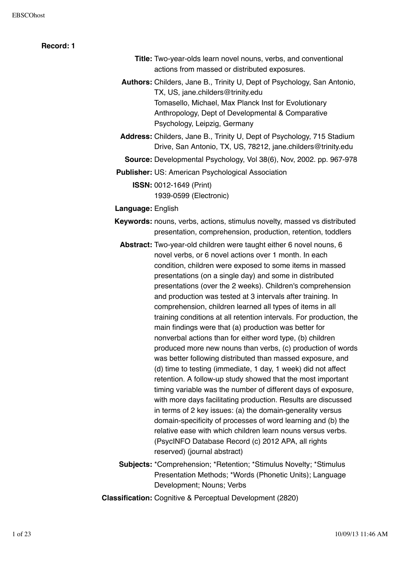# **Title:** Two-year-olds learn novel nouns, verbs, and conventional **Authors:** Childers, Jane B., Trinity U, Dept of Psychology, San Antonio, **Address:** Childers, Jane B., Trinity U, Dept of Psychology, 715 Stadium **Source:** Developmental Psychology, Vol 38(6), Nov, 2002. pp. 967-978 **Publisher:** US: American Psychological Association **ISSN:** 0012-1649 (Print) **Language:** English **Keywords:** nouns, verbs, actions, stimulus novelty, massed vs distributed **Abstract:** Two-year-old children were taught either 6 novel nouns, 6 **Subjects:** \*Comprehension; \*Retention; \*Stimulus Novelty; \*Stimulus **Record: 1** actions from massed or distributed exposures. TX, US, jane.childers@trinity.edu Tomasello, Michael, Max Planck Inst for Evolutionary Anthropology, Dept of Developmental & Comparative Psychology, Leipzig, Germany Drive, San Antonio, TX, US, 78212, jane.childers@trinity.edu 1939-0599 (Electronic) presentation, comprehension, production, retention, toddlers novel verbs, or 6 novel actions over 1 month. In each condition, children were exposed to some items in massed presentations (on a single day) and some in distributed presentations (over the 2 weeks). Children's comprehension and production was tested at 3 intervals after training. In comprehension, children learned all types of items in all training conditions at all retention intervals. For production, the main findings were that (a) production was better for nonverbal actions than for either word type, (b) children produced more new nouns than verbs, (c) production of words was better following distributed than massed exposure, and (d) time to testing (immediate, 1 day, 1 week) did not affect retention. A follow-up study showed that the most important timing variable was the number of different days of exposure, with more days facilitating production. Results are discussed in terms of 2 key issues: (a) the domain-generality versus domain-specificity of processes of word learning and (b) the relative ease with which children learn nouns versus verbs. (PsycINFO Database Record (c) 2012 APA, all rights reserved) (journal abstract) Presentation Methods; \*Words (Phonetic Units); Language Development; Nouns; Verbs

**Classification:** Cognitive & Perceptual Development (2820)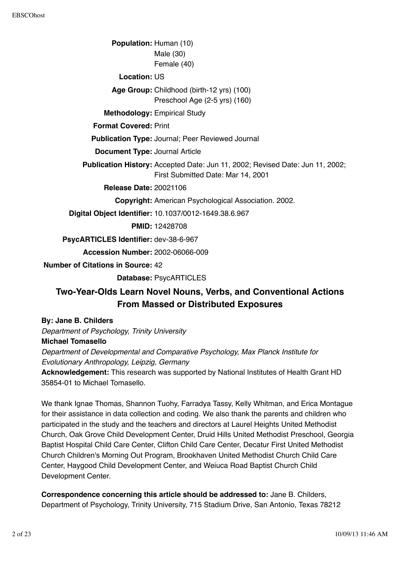**Population:** Human (10) Male (30) Female (40)

**Location:** US

**Age Group:** Childhood (birth-12 yrs) (100) Preschool Age (2-5 yrs) (160)

**Methodology:** Empirical Study

**Format Covered: Print** 

**Publication Type:** Journal; Peer Reviewed Journal

**Document Type:** Journal Article

**Publication History:** Accepted Date: Jun 11, 2002; Revised Date: Jun 11, 2002; First Submitted Date: Mar 14, 2001

**Release Date:** 20021106

**Copyright:** American Psychological Association. 2002.

**Digital Object Identifier:** 10.1037/0012-1649.38.6.967

**PMID:** 12428708

**PsycARTICLES Identifier:** dev-38-6-967

**Accession Number:** 2002-06066-009

**Number of Citations in Source:** 42

**Database:** PsycARTICLES

# **Two-Year-Olds Learn Novel Nouns, Verbs, and Conventional Actions From Massed or Distributed Exposures**

**By: Jane B. Childers** *Department of Psychology, Trinity University* **Michael Tomasello** *Department of Developmental and Comparative Psychology, Max Planck Institute for Evolutionary Anthropology, Leipzig, Germany* **Acknowledgement:** This research was supported by National Institutes of Health Grant HD

35854-01 to Michael Tomasello.

We thank Ignae Thomas, Shannon Tuohy, Farradya Tassy, Kelly Whitman, and Erica Montague for their assistance in data collection and coding. We also thank the parents and children who participated in the study and the teachers and directors at Laurel Heights United Methodist Church, Oak Grove Child Development Center, Druid Hills United Methodist Preschool, Georgia Baptist Hospital Child Care Center, Clifton Child Care Center, Decatur First United Methodist Church Children's Morning Out Program, Brookhaven United Methodist Church Child Care Center, Haygood Child Development Center, and Weiuca Road Baptist Church Child Development Center.

**Correspondence concerning this article should be addressed to:** Jane B. Childers, Department of Psychology, Trinity University, 715 Stadium Drive, San Antonio, Texas 78212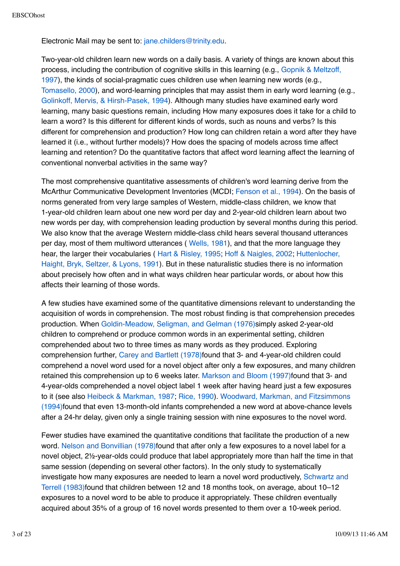Electronic Mail may be sent to: jane.childers@trinity.edu.

Two-year-old children learn new words on a daily basis. A variety of things are known about this process, including the contribution of cognitive skills in this learning (e.g., Gopnik & Meltzoff, 1997), the kinds of social-pragmatic cues children use when learning new words (e.g., Tomasello, 2000), and word-learning principles that may assist them in early word learning (e.g., Golinkoff, Mervis, & Hirsh-Pasek, 1994). Although many studies have examined early word learning, many basic questions remain, including How many exposures does it take for a child to learn a word? Is this different for different kinds of words, such as nouns and verbs? Is this different for comprehension and production? How long can children retain a word after they have learned it (i.e., without further models)? How does the spacing of models across time affect learning and retention? Do the quantitative factors that affect word learning affect the learning of conventional nonverbal activities in the same way?

The most comprehensive quantitative assessments of children's word learning derive from the McArthur Communicative Development Inventories (MCDI; Fenson et al., 1994). On the basis of norms generated from very large samples of Western, middle-class children, we know that 1-year-old children learn about one new word per day and 2-year-old children learn about two new words per day, with comprehension leading production by several months during this period. We also know that the average Western middle-class child hears several thousand utterances per day, most of them multiword utterances ( Wells, 1981), and that the more language they hear, the larger their vocabularies ( Hart & Risley, 1995; Hoff & Naigles, 2002; Huttenlocher, Haight, Bryk, Seltzer, & Lyons, 1991). But in these naturalistic studies there is no information about precisely how often and in what ways children hear particular words, or about how this affects their learning of those words.

A few studies have examined some of the quantitative dimensions relevant to understanding the acquisition of words in comprehension. The most robust finding is that comprehension precedes production. When Goldin-Meadow, Seligman, and Gelman (1976)simply asked 2-year-old children to comprehend or produce common words in an experimental setting, children comprehended about two to three times as many words as they produced. Exploring comprehension further, Carey and Bartlett (1978)found that 3- and 4-year-old children could comprehend a novel word used for a novel object after only a few exposures, and many children retained this comprehension up to 6 weeks later. Markson and Bloom (1997)found that 3- and 4-year-olds comprehended a novel object label 1 week after having heard just a few exposures to it (see also Heibeck & Markman, 1987; Rice, 1990). Woodward, Markman, and Fitzsimmons (1994)found that even 13-month-old infants comprehended a new word at above-chance levels after a 24-hr delay, given only a single training session with nine exposures to the novel word.

Fewer studies have examined the quantitative conditions that facilitate the production of a new word. Nelson and Bonvillian (1978)found that after only a few exposures to a novel label for a novel object, 2½-year-olds could produce that label appropriately more than half the time in that same session (depending on several other factors). In the only study to systematically investigate how many exposures are needed to learn a novel word productively, Schwartz and Terrell (1983)found that children between 12 and 18 months took, on average, about 10–12 exposures to a novel word to be able to produce it appropriately. These children eventually acquired about 35% of a group of 16 novel words presented to them over a 10-week period.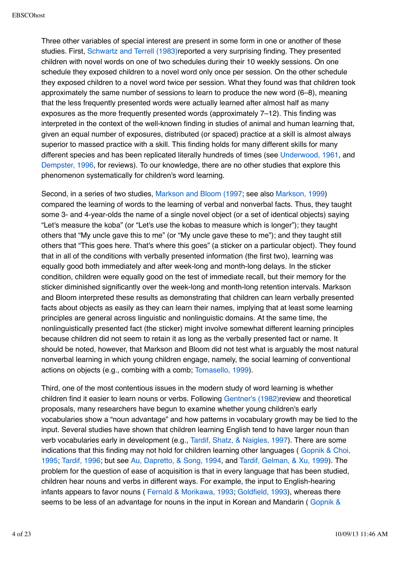Three other variables of special interest are present in some form in one or another of these studies. First, Schwartz and Terrell (1983)reported a very surprising finding. They presented children with novel words on one of two schedules during their 10 weekly sessions. On one schedule they exposed children to a novel word only once per session. On the other schedule they exposed children to a novel word twice per session. What they found was that children took approximately the same number of sessions to learn to produce the new word (6–8), meaning that the less frequently presented words were actually learned after almost half as many exposures as the more frequently presented words (approximately 7–12). This finding was interpreted in the context of the well-known finding in studies of animal and human learning that, given an equal number of exposures, distributed (or spaced) practice at a skill is almost always superior to massed practice with a skill. This finding holds for many different skills for many different species and has been replicated literally hundreds of times (see Underwood, 1961, and Dempster, 1996, for reviews). To our knowledge, there are no other studies that explore this phenomenon systematically for children's word learning.

Second, in a series of two studies, Markson and Bloom (1997; see also Markson, 1999) compared the learning of words to the learning of verbal and nonverbal facts. Thus, they taught some 3- and 4-year-olds the name of a single novel object (or a set of identical objects) saying "Let's measure the koba" (or "Let's use the kobas to measure which is longer"); they taught others that "My uncle gave this to me" (or "My uncle gave these to me"); and they taught still others that "This goes here. That's where this goes" (a sticker on a particular object). They found that in all of the conditions with verbally presented information (the first two), learning was equally good both immediately and after week-long and month-long delays. In the sticker condition, children were equally good on the test of immediate recall, but their memory for the sticker diminished significantly over the week-long and month-long retention intervals. Markson and Bloom interpreted these results as demonstrating that children can learn verbally presented facts about objects as easily as they can learn their names, implying that at least some learning principles are general across linguistic and nonlinguistic domains. At the same time, the nonlinguistically presented fact (the sticker) might involve somewhat different learning principles because children did not seem to retain it as long as the verbally presented fact or name. It should be noted, however, that Markson and Bloom did not test what is arguably the most natural nonverbal learning in which young children engage, namely, the social learning of conventional actions on objects (e.g., combing with a comb; Tomasello, 1999).

Third, one of the most contentious issues in the modern study of word learning is whether children find it easier to learn nouns or verbs. Following Gentner's (1982)review and theoretical proposals, many researchers have begun to examine whether young children's early vocabularies show a "noun advantage" and how patterns in vocabulary growth may be tied to the input. Several studies have shown that children learning English tend to have larger noun than verb vocabularies early in development (e.g., Tardif, Shatz, & Naigles, 1997). There are some indications that this finding may not hold for children learning other languages ( Gopnik & Choi, 1995; Tardif, 1996; but see Au, Dapretto, & Song, 1994, and Tardif, Gelman, & Xu, 1999). The problem for the question of ease of acquisition is that in every language that has been studied, children hear nouns and verbs in different ways. For example, the input to English-hearing infants appears to favor nouns ( Fernald & Morikawa, 1993; Goldfield, 1993), whereas there seems to be less of an advantage for nouns in the input in Korean and Mandarin (Gopnik &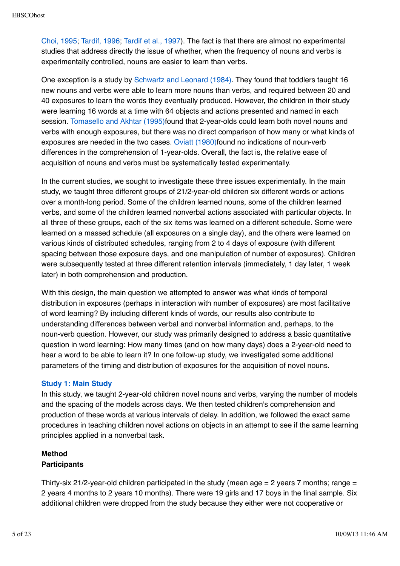Choi, 1995; Tardif, 1996; Tardif et al., 1997). The fact is that there are almost no experimental studies that address directly the issue of whether, when the frequency of nouns and verbs is experimentally controlled, nouns are easier to learn than verbs.

One exception is a study by Schwartz and Leonard (1984). They found that toddlers taught 16 new nouns and verbs were able to learn more nouns than verbs, and required between 20 and 40 exposures to learn the words they eventually produced. However, the children in their study were learning 16 words at a time with 64 objects and actions presented and named in each session. Tomasello and Akhtar (1995)found that 2-year-olds could learn both novel nouns and verbs with enough exposures, but there was no direct comparison of how many or what kinds of exposures are needed in the two cases. Oviatt (1980)found no indications of noun-verb differences in the comprehension of 1-year-olds. Overall, the fact is, the relative ease of acquisition of nouns and verbs must be systematically tested experimentally.

In the current studies, we sought to investigate these three issues experimentally. In the main study, we taught three different groups of 21/2-year-old children six different words or actions over a month-long period. Some of the children learned nouns, some of the children learned verbs, and some of the children learned nonverbal actions associated with particular objects. In all three of these groups, each of the six items was learned on a different schedule. Some were learned on a massed schedule (all exposures on a single day), and the others were learned on various kinds of distributed schedules, ranging from 2 to 4 days of exposure (with different spacing between those exposure days, and one manipulation of number of exposures). Children were subsequently tested at three different retention intervals (immediately, 1 day later, 1 week later) in both comprehension and production.

With this design, the main question we attempted to answer was what kinds of temporal distribution in exposures (perhaps in interaction with number of exposures) are most facilitative of word learning? By including different kinds of words, our results also contribute to understanding differences between verbal and nonverbal information and, perhaps, to the noun-verb question. However, our study was primarily designed to address a basic quantitative question in word learning: How many times (and on how many days) does a 2-year-old need to hear a word to be able to learn it? In one follow-up study, we investigated some additional parameters of the timing and distribution of exposures for the acquisition of novel nouns.

#### **Study 1: Main Study**

In this study, we taught 2-year-old children novel nouns and verbs, varying the number of models and the spacing of the models across days. We then tested children's comprehension and production of these words at various intervals of delay. In addition, we followed the exact same procedures in teaching children novel actions on objects in an attempt to see if the same learning principles applied in a nonverbal task.

# **Method Participants**

Thirty-six 21/2-year-old children participated in the study (mean age  $=$  2 years 7 months; range  $=$ 2 years 4 months to 2 years 10 months). There were 19 girls and 17 boys in the final sample. Six additional children were dropped from the study because they either were not cooperative or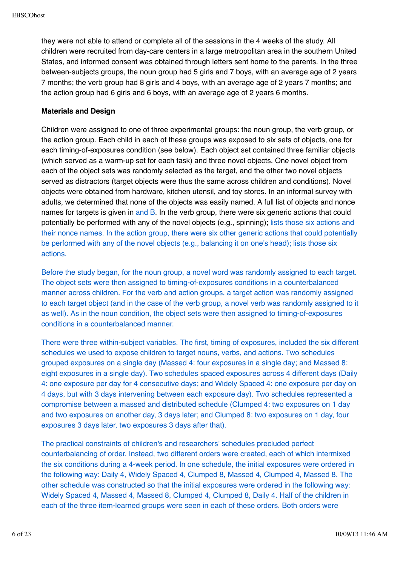they were not able to attend or complete all of the sessions in the 4 weeks of the study. All children were recruited from day-care centers in a large metropolitan area in the southern United States, and informed consent was obtained through letters sent home to the parents. In the three between-subjects groups, the noun group had 5 girls and 7 boys, with an average age of 2 years 7 months; the verb group had 8 girls and 4 boys, with an average age of 2 years 7 months; and the action group had 6 girls and 6 boys, with an average age of 2 years 6 months.

#### **Materials and Design**

Children were assigned to one of three experimental groups: the noun group, the verb group, or the action group. Each child in each of these groups was exposed to six sets of objects, one for each timing-of-exposures condition (see below). Each object set contained three familiar objects (which served as a warm-up set for each task) and three novel objects. One novel object from each of the object sets was randomly selected as the target, and the other two novel objects served as distractors (target objects were thus the same across children and conditions). Novel objects were obtained from hardware, kitchen utensil, and toy stores. In an informal survey with adults, we determined that none of the objects was easily named. A full list of objects and nonce names for targets is given in and B. In the verb group, there were six generic actions that could potentially be performed with any of the novel objects (e.g., spinning); lists those six actions and their nonce names. In the action group, there were six other generic actions that could potentially be performed with any of the novel objects (e.g., balancing it on one's head); lists those six actions.

Before the study began, for the noun group, a novel word was randomly assigned to each target. The object sets were then assigned to timing-of-exposures conditions in a counterbalanced manner across children. For the verb and action groups, a target action was randomly assigned to each target object (and in the case of the verb group, a novel verb was randomly assigned to it as well). As in the noun condition, the object sets were then assigned to timing-of-exposures conditions in a counterbalanced manner.

There were three within-subject variables. The first, timing of exposures, included the six different schedules we used to expose children to target nouns, verbs, and actions. Two schedules grouped exposures on a single day (Massed 4: four exposures in a single day; and Massed 8: eight exposures in a single day). Two schedules spaced exposures across 4 different days (Daily 4: one exposure per day for 4 consecutive days; and Widely Spaced 4: one exposure per day on 4 days, but with 3 days intervening between each exposure day). Two schedules represented a compromise between a massed and distributed schedule (Clumped 4: two exposures on 1 day and two exposures on another day, 3 days later; and Clumped 8: two exposures on 1 day, four exposures 3 days later, two exposures 3 days after that).

The practical constraints of children's and researchers' schedules precluded perfect counterbalancing of order. Instead, two different orders were created, each of which intermixed the six conditions during a 4-week period. In one schedule, the initial exposures were ordered in the following way: Daily 4, Widely Spaced 4, Clumped 8, Massed 4, Clumped 4, Massed 8. The other schedule was constructed so that the initial exposures were ordered in the following way: Widely Spaced 4, Massed 4, Massed 8, Clumped 4, Clumped 8, Daily 4. Half of the children in each of the three item-learned groups were seen in each of these orders. Both orders were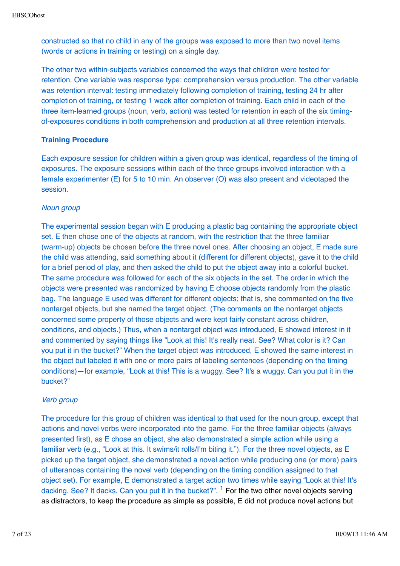constructed so that no child in any of the groups was exposed to more than two novel items (words or actions in training or testing) on a single day.

The other two within-subjects variables concerned the ways that children were tested for retention. One variable was response type: comprehension versus production. The other variable was retention interval: testing immediately following completion of training, testing 24 hr after completion of training, or testing 1 week after completion of training. Each child in each of the three item-learned groups (noun, verb, action) was tested for retention in each of the six timingof-exposures conditions in both comprehension and production at all three retention intervals.

#### **Training Procedure**

Each exposure session for children within a given group was identical, regardless of the timing of exposures. The exposure sessions within each of the three groups involved interaction with a female experimenter (E) for 5 to 10 min. An observer (O) was also present and videotaped the session.

# *Noun group*

The experimental session began with E producing a plastic bag containing the appropriate object set. E then chose one of the objects at random, with the restriction that the three familiar (warm-up) objects be chosen before the three novel ones. After choosing an object, E made sure the child was attending, said something about it (different for different objects), gave it to the child for a brief period of play, and then asked the child to put the object away into a colorful bucket. The same procedure was followed for each of the six objects in the set. The order in which the objects were presented was randomized by having E choose objects randomly from the plastic bag. The language E used was different for different objects; that is, she commented on the five nontarget objects, but she named the target object. (The comments on the nontarget objects concerned some property of those objects and were kept fairly constant across children, conditions, and objects.) Thus, when a nontarget object was introduced, E showed interest in it and commented by saying things like "Look at this! It's really neat. See? What color is it? Can you put it in the bucket?" When the target object was introduced, E showed the same interest in the object but labeled it with one or more pairs of labeling sentences (depending on the timing conditions)—for example, "Look at this! This is a wuggy. See? It's a wuggy. Can you put it in the bucket?"

#### *Verb group*

The procedure for this group of children was identical to that used for the noun group, except that actions and novel verbs were incorporated into the game. For the three familiar objects (always presented first), as E chose an object, she also demonstrated a simple action while using a familiar verb (e.g., "Look at this. It swims/it rolls/I'm biting it."). For the three novel objects, as E picked up the target object, she demonstrated a novel action while producing one (or more) pairs of utterances containing the novel verb (depending on the timing condition assigned to that object set). For example, E demonstrated a target action two times while saying "Look at this! It's dacking. See? It dacks. Can you put it in the bucket?". <sup>1</sup> For the two other novel objects serving as distractors, to keep the procedure as simple as possible, E did not produce novel actions but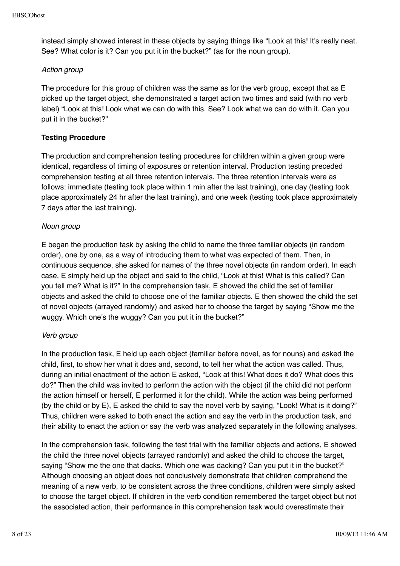instead simply showed interest in these objects by saying things like "Look at this! It's really neat. See? What color is it? Can you put it in the bucket?" (as for the noun group).

#### *Action group*

The procedure for this group of children was the same as for the verb group, except that as E picked up the target object, she demonstrated a target action two times and said (with no verb label) "Look at this! Look what we can do with this. See? Look what we can do with it. Can you put it in the bucket?"

# **Testing Procedure**

The production and comprehension testing procedures for children within a given group were identical, regardless of timing of exposures or retention interval. Production testing preceded comprehension testing at all three retention intervals. The three retention intervals were as follows: immediate (testing took place within 1 min after the last training), one day (testing took place approximately 24 hr after the last training), and one week (testing took place approximately 7 days after the last training).

# *Noun group*

E began the production task by asking the child to name the three familiar objects (in random order), one by one, as a way of introducing them to what was expected of them. Then, in continuous sequence, she asked for names of the three novel objects (in random order). In each case, E simply held up the object and said to the child, "Look at this! What is this called? Can you tell me? What is it?" In the comprehension task, E showed the child the set of familiar objects and asked the child to choose one of the familiar objects. E then showed the child the set of novel objects (arrayed randomly) and asked her to choose the target by saying "Show me the wuggy. Which one's the wuggy? Can you put it in the bucket?"

#### *Verb group*

In the production task, E held up each object (familiar before novel, as for nouns) and asked the child, first, to show her what it does and, second, to tell her what the action was called. Thus, during an initial enactment of the action E asked, "Look at this! What does it do? What does this do?" Then the child was invited to perform the action with the object (if the child did not perform the action himself or herself, E performed it for the child). While the action was being performed (by the child or by E), E asked the child to say the novel verb by saying, "Look! What is it doing?" Thus, children were asked to both enact the action and say the verb in the production task, and their ability to enact the action or say the verb was analyzed separately in the following analyses.

In the comprehension task, following the test trial with the familiar objects and actions, E showed the child the three novel objects (arrayed randomly) and asked the child to choose the target, saying "Show me the one that dacks. Which one was dacking? Can you put it in the bucket?" Although choosing an object does not conclusively demonstrate that children comprehend the meaning of a new verb, to be consistent across the three conditions, children were simply asked to choose the target object. If children in the verb condition remembered the target object but not the associated action, their performance in this comprehension task would overestimate their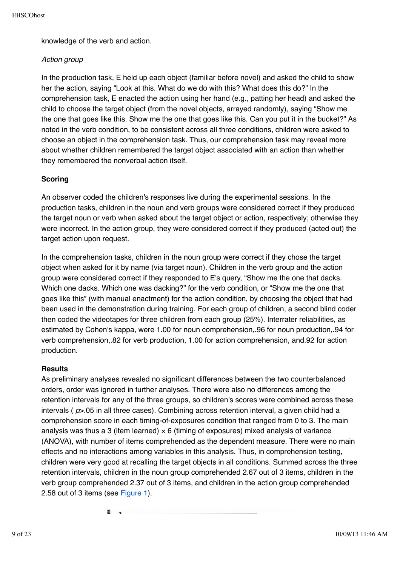knowledge of the verb and action.

#### *Action group*

In the production task, E held up each object (familiar before novel) and asked the child to show her the action, saying "Look at this. What do we do with this? What does this do?" In the comprehension task, E enacted the action using her hand (e.g., patting her head) and asked the child to choose the target object (from the novel objects, arrayed randomly), saying "Show me the one that goes like this. Show me the one that goes like this. Can you put it in the bucket?" As noted in the verb condition, to be consistent across all three conditions, children were asked to choose an object in the comprehension task. Thus, our comprehension task may reveal more about whether children remembered the target object associated with an action than whether they remembered the nonverbal action itself.

# **Scoring**

An observer coded the children's responses live during the experimental sessions. In the production tasks, children in the noun and verb groups were considered correct if they produced the target noun or verb when asked about the target object or action, respectively; otherwise they were incorrect. In the action group, they were considered correct if they produced (acted out) the target action upon request.

In the comprehension tasks, children in the noun group were correct if they chose the target object when asked for it by name (via target noun). Children in the verb group and the action group were considered correct if they responded to E's query, "Show me the one that dacks. Which one dacks. Which one was dacking?" for the verb condition, or "Show me the one that goes like this" (with manual enactment) for the action condition, by choosing the object that had been used in the demonstration during training. For each group of children, a second blind coder then coded the videotapes for three children from each group (25%). Interrater reliabilities, as estimated by Cohen's kappa, were 1.00 for noun comprehension,.96 for noun production,.94 for verb comprehension,.82 for verb production, 1.00 for action comprehension, and.92 for action production.

#### **Results**

As preliminary analyses revealed no significant differences between the two counterbalanced orders, order was ignored in further analyses. There were also no differences among the retention intervals for any of the three groups, so children's scores were combined across these intervals ( *p*>.05 in all three cases). Combining across retention interval, a given child had a comprehension score in each timing-of-exposures condition that ranged from 0 to 3. The main analysis was thus a 3 (item learned)  $\times$  6 (timing of exposures) mixed analysis of variance (ANOVA), with number of items comprehended as the dependent measure. There were no main effects and no interactions among variables in this analysis. Thus, in comprehension testing, children were very good at recalling the target objects in all conditions. Summed across the three retention intervals, children in the noun group comprehended 2.67 out of 3 items, children in the verb group comprehended 2.37 out of 3 items, and children in the action group comprehended 2.58 out of 3 items (see Figure 1).

ຶ່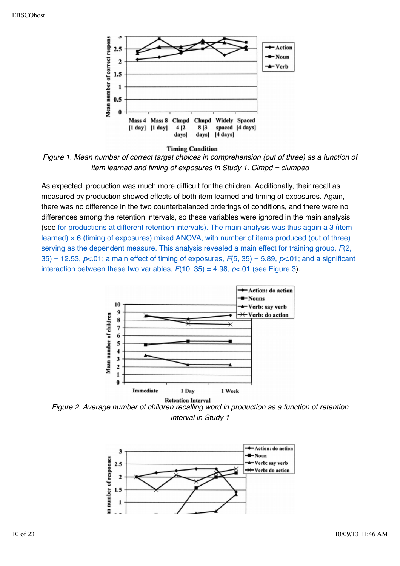

**Timing Condition** 

*Figure 1. Mean number of correct target choices in comprehension (out of three) as a function of item learned and timing of exposures in Study 1. Clmpd = clumped*

As expected, production was much more difficult for the children. Additionally, their recall as measured by production showed effects of both item learned and timing of exposures. Again, there was no difference in the two counterbalanced orderings of conditions, and there were no differences among the retention intervals, so these variables were ignored in the main analysis (see for productions at different retention intervals). The main analysis was thus again a 3 (item learned)  $\times$  6 (timing of exposures) mixed ANOVA, with number of items produced (out of three) serving as the dependent measure. This analysis revealed a main effect for training group, *F*(2, 35) = 12.53,  $p$ <.01; a main effect of timing of exposures,  $F(5, 35) = 5.89$ ,  $p$ <.01; and a significant interaction between these two variables,  $F(10, 35) = 4.98$ ,  $p \lt 0.01$  (see Figure 3).



*Figure 2. Average number of children recalling word in production as a function of retention interval in Study 1*

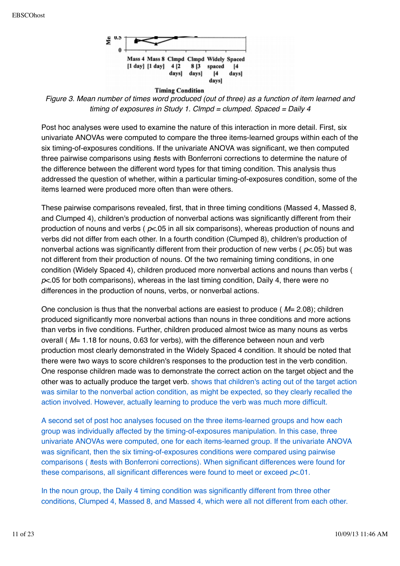

*Figure 3. Mean number of times word produced (out of three) as a function of item learned and timing of exposures in Study 1. Clmpd = clumped. Spaced = Daily 4*

Post hoc analyses were used to examine the nature of this interaction in more detail. First, six univariate ANOVAs were computed to compare the three items-learned groups within each of the six timing-of-exposures conditions. If the univariate ANOVA was significant, we then computed three pairwise comparisons using *t*tests with Bonferroni corrections to determine the nature of the difference between the different word types for that timing condition. This analysis thus addressed the question of whether, within a particular timing-of-exposures condition, some of the items learned were produced more often than were others.

These pairwise comparisons revealed, first, that in three timing conditions (Massed 4, Massed 8, and Clumped 4), children's production of nonverbal actions was significantly different from their production of nouns and verbs ( *p*<.05 in all six comparisons), whereas production of nouns and verbs did not differ from each other. In a fourth condition (Clumped 8), children's production of nonverbal actions was significantly different from their production of new verbs ( *p*<.05) but was not different from their production of nouns. Of the two remaining timing conditions, in one condition (Widely Spaced 4), children produced more nonverbal actions and nouns than verbs (  $p$   $\leq$ .05 for both comparisons), whereas in the last timing condition, Daily 4, there were no differences in the production of nouns, verbs, or nonverbal actions.

One conclusion is thus that the nonverbal actions are easiest to produce ( *M*= 2.08); children produced significantly more nonverbal actions than nouns in three conditions and more actions than verbs in five conditions. Further, children produced almost twice as many nouns as verbs overall ( *M*= 1.18 for nouns, 0.63 for verbs), with the difference between noun and verb production most clearly demonstrated in the Widely Spaced 4 condition. It should be noted that there were two ways to score children's responses to the production test in the verb condition. One response children made was to demonstrate the correct action on the target object and the other was to actually produce the target verb. shows that children's acting out of the target action was similar to the nonverbal action condition, as might be expected, so they clearly recalled the action involved. However, actually learning to produce the verb was much more difficult.

A second set of post hoc analyses focused on the three items-learned groups and how each group was individually affected by the timing-of-exposures manipulation. In this case, three univariate ANOVAs were computed, one for each items-learned group. If the univariate ANOVA was significant, then the six timing-of-exposures conditions were compared using pairwise comparisons ( *t*tests with Bonferroni corrections). When significant differences were found for these comparisons, all significant differences were found to meet or exceed *p*<.01.

In the noun group, the Daily 4 timing condition was significantly different from three other conditions, Clumped 4, Massed 8, and Massed 4, which were all not different from each other.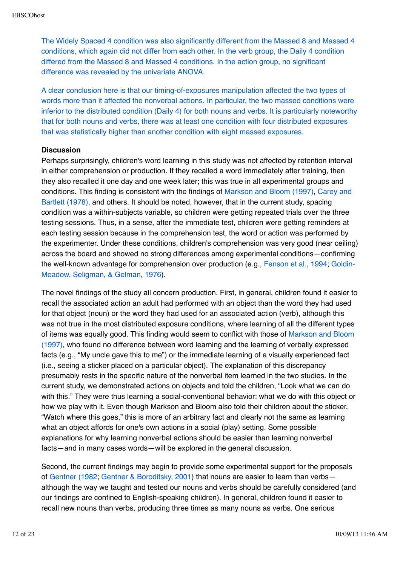The Widely Spaced 4 condition was also significantly different from the Massed 8 and Massed 4 conditions, which again did not differ from each other. In the verb group, the Daily 4 condition differed from the Massed 8 and Massed 4 conditions. In the action group, no significant difference was revealed by the univariate ANOVA.

A clear conclusion here is that our timing-of-exposures manipulation affected the two types of words more than it affected the nonverbal actions. In particular, the two massed conditions were inferior to the distributed condition (Daily 4) for both nouns and verbs. It is particularly noteworthy that for both nouns and verbs, there was at least one condition with four distributed exposures that was statistically higher than another condition with eight massed exposures.

#### **Discussion**

Perhaps surprisingly, children's word learning in this study was not affected by retention interval in either comprehension or production. If they recalled a word immediately after training, then they also recalled it one day and one week later; this was true in all experimental groups and conditions. This finding is consistent with the findings of Markson and Bloom (1997), Carey and Bartlett (1978), and others. It should be noted, however, that in the current study, spacing condition was a within-subjects variable, so children were getting repeated trials over the three testing sessions. Thus, in a sense, after the immediate test, children were getting reminders at each testing session because in the comprehension test, the word or action was performed by the experimenter. Under these conditions, children's comprehension was very good (near ceiling) across the board and showed no strong differences among experimental conditions—confirming the well-known advantage for comprehension over production (e.g., Fenson et al., 1994; Goldin-Meadow, Seligman, & Gelman, 1976).

The novel findings of the study all concern production. First, in general, children found it easier to recall the associated action an adult had performed with an object than the word they had used for that object (noun) or the word they had used for an associated action (verb), although this was not true in the most distributed exposure conditions, where learning of all the different types of items was equally good. This finding would seem to conflict with those of Markson and Bloom (1997), who found no difference between word learning and the learning of verbally expressed facts (e.g., "My uncle gave this to me") or the immediate learning of a visually experienced fact (i.e., seeing a sticker placed on a particular object). The explanation of this discrepancy presumably rests in the specific nature of the nonverbal item learned in the two studies. In the current study, we demonstrated actions on objects and told the children, "Look what we can do with this." They were thus learning a social-conventional behavior: what we do with this object or how we play with it. Even though Markson and Bloom also told their children about the sticker, "Watch where this goes," this is more of an arbitrary fact and clearly not the same as learning what an object affords for one's own actions in a social (play) setting. Some possible explanations for why learning nonverbal actions should be easier than learning nonverbal facts—and in many cases words—will be explored in the general discussion.

Second, the current findings may begin to provide some experimental support for the proposals of Gentner (1982; Gentner & Boroditsky, 2001) that nouns are easier to learn than verbs although the way we taught and tested our nouns and verbs should be carefully considered (and our findings are confined to English-speaking children). In general, children found it easier to recall new nouns than verbs, producing three times as many nouns as verbs. One serious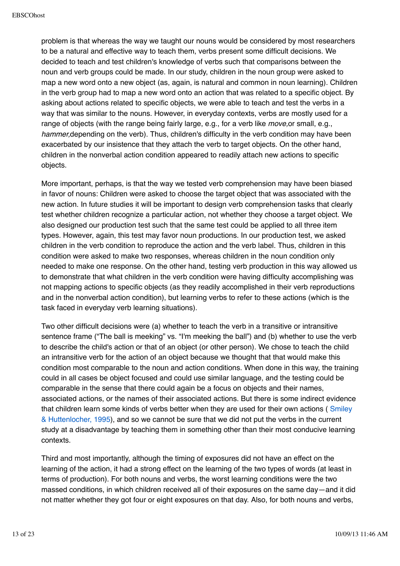problem is that whereas the way we taught our nouns would be considered by most researchers to be a natural and effective way to teach them, verbs present some difficult decisions. We decided to teach and test children's knowledge of verbs such that comparisons between the noun and verb groups could be made. In our study, children in the noun group were asked to map a new word onto a new object (as, again, is natural and common in noun learning). Children in the verb group had to map a new word onto an action that was related to a specific object. By asking about actions related to specific objects, we were able to teach and test the verbs in a way that was similar to the nouns. However, in everyday contexts, verbs are mostly used for a range of objects (with the range being fairly large, e.g., for a verb like *move,*or small, e.g., *hammer,*depending on the verb). Thus, children's difficulty in the verb condition may have been exacerbated by our insistence that they attach the verb to target objects. On the other hand, children in the nonverbal action condition appeared to readily attach new actions to specific objects.

More important, perhaps, is that the way we tested verb comprehension may have been biased in favor of nouns: Children were asked to choose the target object that was associated with the new action. In future studies it will be important to design verb comprehension tasks that clearly test whether children recognize a particular action, not whether they choose a target object. We also designed our production test such that the same test could be applied to all three item types. However, again, this test may favor noun productions. In our production test, we asked children in the verb condition to reproduce the action and the verb label. Thus, children in this condition were asked to make two responses, whereas children in the noun condition only needed to make one response. On the other hand, testing verb production in this way allowed us to demonstrate that what children in the verb condition were having difficulty accomplishing was not mapping actions to specific objects (as they readily accomplished in their verb reproductions and in the nonverbal action condition), but learning verbs to refer to these actions (which is the task faced in everyday verb learning situations).

Two other difficult decisions were (a) whether to teach the verb in a transitive or intransitive sentence frame ("The ball is meeking" vs. "I'm meeking the ball") and (b) whether to use the verb to describe the child's action or that of an object (or other person). We chose to teach the child an intransitive verb for the action of an object because we thought that that would make this condition most comparable to the noun and action conditions. When done in this way, the training could in all cases be object focused and could use similar language, and the testing could be comparable in the sense that there could again be a focus on objects and their names, associated actions, or the names of their associated actions. But there is some indirect evidence that children learn some kinds of verbs better when they are used for their own actions ( Smiley & Huttenlocher, 1995), and so we cannot be sure that we did not put the verbs in the current study at a disadvantage by teaching them in something other than their most conducive learning contexts.

Third and most importantly, although the timing of exposures did not have an effect on the learning of the action, it had a strong effect on the learning of the two types of words (at least in terms of production). For both nouns and verbs, the worst learning conditions were the two massed conditions, in which children received all of their exposures on the same day—and it did not matter whether they got four or eight exposures on that day. Also, for both nouns and verbs,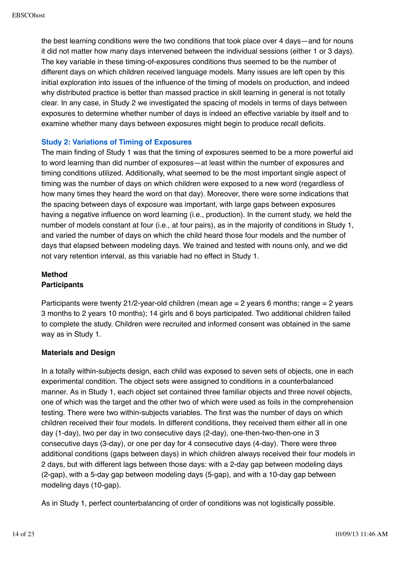the best learning conditions were the two conditions that took place over 4 days—and for nouns it did not matter how many days intervened between the individual sessions (either 1 or 3 days). The key variable in these timing-of-exposures conditions thus seemed to be the number of different days on which children received language models. Many issues are left open by this initial exploration into issues of the influence of the timing of models on production, and indeed why distributed practice is better than massed practice in skill learning in general is not totally clear. In any case, in Study 2 we investigated the spacing of models in terms of days between exposures to determine whether number of days is indeed an effective variable by itself and to examine whether many days between exposures might begin to produce recall deficits.

#### **Study 2: Variations of Timing of Exposures**

The main finding of Study 1 was that the timing of exposures seemed to be a more powerful aid to word learning than did number of exposures—at least within the number of exposures and timing conditions utilized. Additionally, what seemed to be the most important single aspect of timing was the number of days on which children were exposed to a new word (regardless of how many times they heard the word on that day). Moreover, there were some indications that the spacing between days of exposure was important, with large gaps between exposures having a negative influence on word learning (i.e., production). In the current study, we held the number of models constant at four (i.e., at four pairs), as in the majority of conditions in Study 1, and varied the number of days on which the child heard those four models and the number of days that elapsed between modeling days. We trained and tested with nouns only, and we did not vary retention interval, as this variable had no effect in Study 1.

# **Method Participants**

Participants were twenty 21/2-year-old children (mean age = 2 years 6 months; range = 2 years 3 months to 2 years 10 months); 14 girls and 6 boys participated. Two additional children failed to complete the study. Children were recruited and informed consent was obtained in the same way as in Study 1.

#### **Materials and Design**

In a totally within-subjects design, each child was exposed to seven sets of objects, one in each experimental condition. The object sets were assigned to conditions in a counterbalanced manner. As in Study 1, each object set contained three familiar objects and three novel objects, one of which was the target and the other two of which were used as foils in the comprehension testing. There were two within-subjects variables. The first was the number of days on which children received their four models. In different conditions, they received them either all in one day (1-day), two per day in two consecutive days (2-day), one-then-two-then-one in 3 consecutive days (3-day), or one per day for 4 consecutive days (4-day). There were three additional conditions (gaps between days) in which children always received their four models in 2 days, but with different lags between those days: with a 2-day gap between modeling days (2-gap), with a 5-day gap between modeling days (5-gap), and with a 10-day gap between modeling days (10-gap).

As in Study 1, perfect counterbalancing of order of conditions was not logistically possible.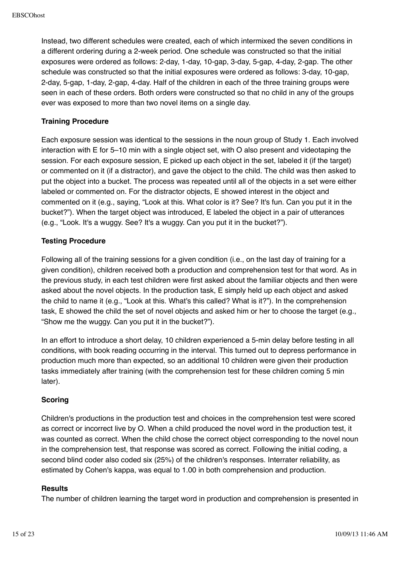Instead, two different schedules were created, each of which intermixed the seven conditions in a different ordering during a 2-week period. One schedule was constructed so that the initial exposures were ordered as follows: 2-day, 1-day, 10-gap, 3-day, 5-gap, 4-day, 2-gap. The other schedule was constructed so that the initial exposures were ordered as follows: 3-day, 10-gap, 2-day, 5-gap, 1-day, 2-gap, 4-day. Half of the children in each of the three training groups were seen in each of these orders. Both orders were constructed so that no child in any of the groups ever was exposed to more than two novel items on a single day.

#### **Training Procedure**

Each exposure session was identical to the sessions in the noun group of Study 1. Each involved interaction with E for 5–10 min with a single object set, with O also present and videotaping the session. For each exposure session, E picked up each object in the set, labeled it (if the target) or commented on it (if a distractor), and gave the object to the child. The child was then asked to put the object into a bucket. The process was repeated until all of the objects in a set were either labeled or commented on. For the distractor objects, E showed interest in the object and commented on it (e.g., saying, "Look at this. What color is it? See? It's fun. Can you put it in the bucket?"). When the target object was introduced, E labeled the object in a pair of utterances (e.g., "Look. It's a wuggy. See? It's a wuggy. Can you put it in the bucket?").

# **Testing Procedure**

Following all of the training sessions for a given condition (i.e., on the last day of training for a given condition), children received both a production and comprehension test for that word. As in the previous study, in each test children were first asked about the familiar objects and then were asked about the novel objects. In the production task, E simply held up each object and asked the child to name it (e.g., "Look at this. What's this called? What is it?"). In the comprehension task, E showed the child the set of novel objects and asked him or her to choose the target (e.g., "Show me the wuggy. Can you put it in the bucket?").

In an effort to introduce a short delay, 10 children experienced a 5-min delay before testing in all conditions, with book reading occurring in the interval. This turned out to depress performance in production much more than expected, so an additional 10 children were given their production tasks immediately after training (with the comprehension test for these children coming 5 min later).

#### **Scoring**

Children's productions in the production test and choices in the comprehension test were scored as correct or incorrect live by O. When a child produced the novel word in the production test, it was counted as correct. When the child chose the correct object corresponding to the novel noun in the comprehension test, that response was scored as correct. Following the initial coding, a second blind coder also coded six (25%) of the children's responses. Interrater reliability, as estimated by Cohen's kappa, was equal to 1.00 in both comprehension and production.

#### **Results**

The number of children learning the target word in production and comprehension is presented in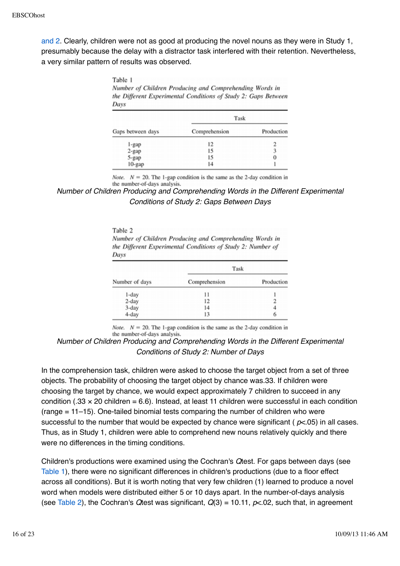and 2. Clearly, children were not as good at producing the novel nouns as they were in Study 1, presumably because the delay with a distractor task interfered with their retention. Nevertheless, a very similar pattern of results was observed.

Table 1

| Number of Children Producing and Comprehending Words in<br>the Different Experimental Conditions of Study 2: Gaps Between<br>Days |               |            |  |
|-----------------------------------------------------------------------------------------------------------------------------------|---------------|------------|--|
| Gaps between days                                                                                                                 | Task          |            |  |
|                                                                                                                                   | Comprehension | Production |  |
| l-gap                                                                                                                             | 12            | 2          |  |
| $2$ -gap                                                                                                                          | 15            | 3          |  |
| 5-gap                                                                                                                             | 15            | 0          |  |
| $10$ -gap                                                                                                                         | 14            |            |  |

*Note.*  $N = 20$ . The 1-gap condition is the same as the 2-day condition in the number-of-days analysis.

*Number of Children Producing and Comprehending Words in the Different Experimental Conditions of Study 2: Gaps Between Days*

| Table 2 | Number of Children Producing and Comprehending Words in     |
|---------|-------------------------------------------------------------|
| Days    | the Different Experimental Conditions of Study 2: Number of |
|         | Task                                                        |

| 1 3 S K       |            |  |
|---------------|------------|--|
| Comprehension | Production |  |
| 11            |            |  |
| 12            |            |  |
| 14            |            |  |
| 13            | o          |  |
|               |            |  |

*Note.*  $N = 20$ . The 1-gap condition is the same as the 2-day condition in the number-of-days analysis.

*Number of Children Producing and Comprehending Words in the Different Experimental Conditions of Study 2: Number of Days*

In the comprehension task, children were asked to choose the target object from a set of three objects. The probability of choosing the target object by chance was.33. If children were choosing the target by chance, we would expect approximately 7 children to succeed in any condition (.33  $\times$  20 children = 6.6). Instead, at least 11 children were successful in each condition (range = 11–15). One-tailed binomial tests comparing the number of children who were successful to the number that would be expected by chance were significant ( $p<0.05$ ) in all cases. Thus, as in Study 1, children were able to comprehend new nouns relatively quickly and there were no differences in the timing conditions.

Children's productions were examined using the Cochran's *Q*test. For gaps between days (see Table 1), there were no significant differences in children's productions (due to a floor effect across all conditions). But it is worth noting that very few children (1) learned to produce a novel word when models were distributed either 5 or 10 days apart. In the number-of-days analysis (see Table 2), the Cochran's *Q*test was significant,  $Q(3) = 10.11$ ,  $p< 0.02$ , such that, in agreement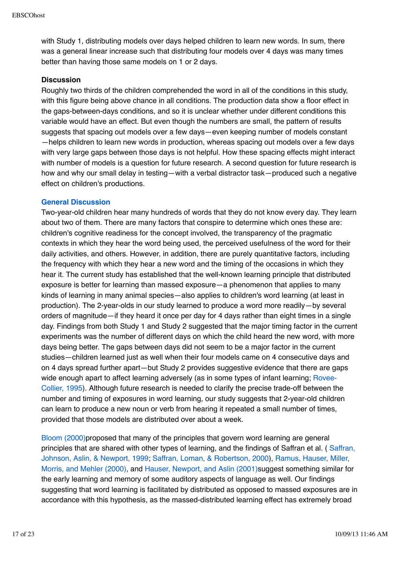with Study 1, distributing models over days helped children to learn new words. In sum, there was a general linear increase such that distributing four models over 4 days was many times better than having those same models on 1 or 2 days.

#### **Discussion**

Roughly two thirds of the children comprehended the word in all of the conditions in this study, with this figure being above chance in all conditions. The production data show a floor effect in the gaps-between-days conditions, and so it is unclear whether under different conditions this variable would have an effect. But even though the numbers are small, the pattern of results suggests that spacing out models over a few days—even keeping number of models constant —helps children to learn new words in production, whereas spacing out models over a few days with very large gaps between those days is not helpful. How these spacing effects might interact with number of models is a question for future research. A second question for future research is how and why our small delay in testing—with a verbal distractor task—produced such a negative effect on children's productions.

#### **General Discussion**

Two-year-old children hear many hundreds of words that they do not know every day. They learn about two of them. There are many factors that conspire to determine which ones these are: children's cognitive readiness for the concept involved, the transparency of the pragmatic contexts in which they hear the word being used, the perceived usefulness of the word for their daily activities, and others. However, in addition, there are purely quantitative factors, including the frequency with which they hear a new word and the timing of the occasions in which they hear it. The current study has established that the well-known learning principle that distributed exposure is better for learning than massed exposure—a phenomenon that applies to many kinds of learning in many animal species—also applies to children's word learning (at least in production). The 2-year-olds in our study learned to produce a word more readily—by several orders of magnitude—if they heard it once per day for 4 days rather than eight times in a single day. Findings from both Study 1 and Study 2 suggested that the major timing factor in the current experiments was the number of different days on which the child heard the new word, with more days being better. The gaps between days did not seem to be a major factor in the current studies—children learned just as well when their four models came on 4 consecutive days and on 4 days spread further apart—but Study 2 provides suggestive evidence that there are gaps wide enough apart to affect learning adversely (as in some types of infant learning; Rovee-Collier, 1995). Although future research is needed to clarify the precise trade-off between the number and timing of exposures in word learning, our study suggests that 2-year-old children can learn to produce a new noun or verb from hearing it repeated a small number of times, provided that those models are distributed over about a week.

Bloom (2000)proposed that many of the principles that govern word learning are general principles that are shared with other types of learning, and the findings of Saffran et al. ( Saffran, Johnson, Aslin, & Newport, 1999; Saffran, Loman, & Robertson, 2000), Ramus, Hauser, Miller, Morris, and Mehler (2000), and Hauser, Newport, and Aslin (2001)suggest something similar for the early learning and memory of some auditory aspects of language as well. Our findings suggesting that word learning is facilitated by distributed as opposed to massed exposures are in accordance with this hypothesis, as the massed-distributed learning effect has extremely broad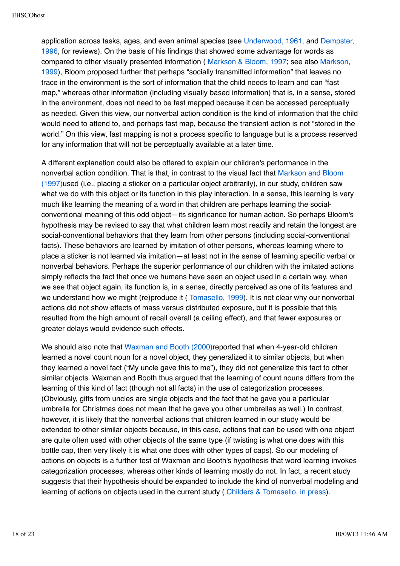application across tasks, ages, and even animal species (see Underwood, 1961, and Dempster, 1996, for reviews). On the basis of his findings that showed some advantage for words as compared to other visually presented information ( Markson & Bloom, 1997; see also Markson, 1999), Bloom proposed further that perhaps "socially transmitted information" that leaves no trace in the environment is the sort of information that the child needs to learn and can "fast map," whereas other information (including visually based information) that is, in a sense, stored in the environment, does not need to be fast mapped because it can be accessed perceptually as needed. Given this view, our nonverbal action condition is the kind of information that the child would need to attend to, and perhaps fast map, because the transient action is not "stored in the world." On this view, fast mapping is not a process specific to language but is a process reserved for any information that will not be perceptually available at a later time.

A different explanation could also be offered to explain our children's performance in the nonverbal action condition. That is that, in contrast to the visual fact that Markson and Bloom (1997)used (i.e., placing a sticker on a particular object arbitrarily), in our study, children saw what we do with this object or its function in this play interaction. In a sense, this learning is very much like learning the meaning of a word in that children are perhaps learning the socialconventional meaning of this odd object—its significance for human action. So perhaps Bloom's hypothesis may be revised to say that what children learn most readily and retain the longest are social-conventional behaviors that they learn from other persons (including social-conventional facts). These behaviors are learned by imitation of other persons, whereas learning where to place a sticker is not learned via imitation—at least not in the sense of learning specific verbal or nonverbal behaviors. Perhaps the superior performance of our children with the imitated actions simply reflects the fact that once we humans have seen an object used in a certain way, when we see that object again, its function is, in a sense, directly perceived as one of its features and we understand how we might (re)produce it (Tomasello, 1999). It is not clear why our nonverbal actions did not show effects of mass versus distributed exposure, but it is possible that this resulted from the high amount of recall overall (a ceiling effect), and that fewer exposures or greater delays would evidence such effects.

We should also note that Waxman and Booth (2000)reported that when 4-year-old children learned a novel count noun for a novel object, they generalized it to similar objects, but when they learned a novel fact ("My uncle gave this to me"), they did not generalize this fact to other similar objects. Waxman and Booth thus argued that the learning of count nouns differs from the learning of this kind of fact (though not all facts) in the use of categorization processes. (Obviously, gifts from uncles are single objects and the fact that he gave you a particular umbrella for Christmas does not mean that he gave you other umbrellas as well.) In contrast, however, it is likely that the nonverbal actions that children learned in our study would be extended to other similar objects because, in this case, actions that can be used with one object are quite often used with other objects of the same type (if twisting is what one does with this bottle cap, then very likely it is what one does with other types of caps). So our modeling of actions on objects is a further test of Waxman and Booth's hypothesis that word learning invokes categorization processes, whereas other kinds of learning mostly do not. In fact, a recent study suggests that their hypothesis should be expanded to include the kind of nonverbal modeling and learning of actions on objects used in the current study ( Childers & Tomasello, in press).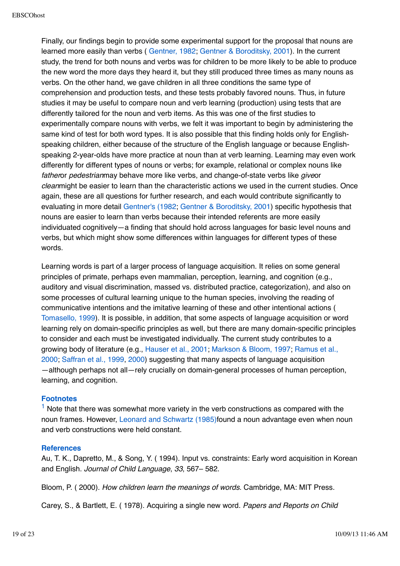Finally, our findings begin to provide some experimental support for the proposal that nouns are learned more easily than verbs ( Gentner, 1982; Gentner & Boroditsky, 2001). In the current study, the trend for both nouns and verbs was for children to be more likely to be able to produce the new word the more days they heard it, but they still produced three times as many nouns as verbs. On the other hand, we gave children in all three conditions the same type of comprehension and production tests, and these tests probably favored nouns. Thus, in future studies it may be useful to compare noun and verb learning (production) using tests that are differently tailored for the noun and verb items. As this was one of the first studies to experimentally compare nouns with verbs, we felt it was important to begin by administering the same kind of test for both word types. It is also possible that this finding holds only for Englishspeaking children, either because of the structure of the English language or because Englishspeaking 2-year-olds have more practice at noun than at verb learning. Learning may even work differently for different types of nouns or verbs; for example, relational or complex nouns like *father*or *pedestrian*may behave more like verbs, and change-of-state verbs like *give*or *clean*might be easier to learn than the characteristic actions we used in the current studies. Once again, these are all questions for further research, and each would contribute significantly to evaluating in more detail Gentner's (1982; Gentner & Boroditsky, 2001) specific hypothesis that nouns are easier to learn than verbs because their intended referents are more easily individuated cognitively—a finding that should hold across languages for basic level nouns and verbs, but which might show some differences within languages for different types of these words.

Learning words is part of a larger process of language acquisition. It relies on some general principles of primate, perhaps even mammalian, perception, learning, and cognition (e.g., auditory and visual discrimination, massed vs. distributed practice, categorization), and also on some processes of cultural learning unique to the human species, involving the reading of communicative intentions and the imitative learning of these and other intentional actions ( Tomasello, 1999). It is possible, in addition, that some aspects of language acquisition or word learning rely on domain-specific principles as well, but there are many domain-specific principles to consider and each must be investigated individually. The current study contributes to a growing body of literature (e.g., Hauser et al., 2001; Markson & Bloom, 1997; Ramus et al., 2000; Saffran et al., 1999, 2000) suggesting that many aspects of language acquisition —although perhaps not all—rely crucially on domain-general processes of human perception, learning, and cognition.

#### **Footnotes**

 $<sup>1</sup>$  Note that there was somewhat more variety in the verb constructions as compared with the</sup> noun frames. However, Leonard and Schwartz (1985)found a noun advantage even when noun and verb constructions were held constant.

#### **References**

Au, T. K., Dapretto, M., & Song, Y. ( 1994). Input vs. constraints: Early word acquisition in Korean and English. *Journal of Child Language*, *33*, 567– 582.

Bloom, P. ( 2000). *How children learn the meanings of words*. Cambridge, MA: MIT Press.

Carey, S., & Bartlett, E. ( 1978). Acquiring a single new word. *Papers and Reports on Child*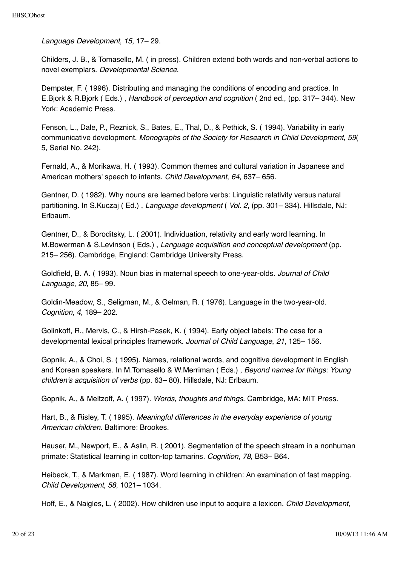*Language Development*, *15*, 17– 29.

Childers, J. B., & Tomasello, M. ( in press). Children extend both words and non-verbal actions to novel exemplars. *Developmental Science*.

Dempster, F. ( 1996). Distributing and managing the conditions of encoding and practice. In E.Bjork & R.Bjork ( Eds.) , *Handbook of perception and cognition* ( 2nd ed., (pp. 317– 344). New York: Academic Press.

Fenson, L., Dale, P., Reznick, S., Bates, E., Thal, D., & Pethick, S. ( 1994). Variability in early communicative development. *Monographs of the Society for Research in Child Development*, *59*( 5, Serial No. 242).

Fernald, A., & Morikawa, H. ( 1993). Common themes and cultural variation in Japanese and American mothers' speech to infants. *Child Development*, *64*, 637– 656.

Gentner, D. ( 1982). Why nouns are learned before verbs: Linguistic relativity versus natural partitioning. In S.Kuczaj ( Ed.) , *Language development* ( *Vol. 2*, (pp. 301– 334). Hillsdale, NJ: Erlbaum.

Gentner, D., & Boroditsky, L. ( 2001). Individuation, relativity and early word learning. In M.Bowerman & S.Levinson ( Eds.) , *Language acquisition and conceptual development* (pp. 215– 256). Cambridge, England: Cambridge University Press.

Goldfield, B. A. ( 1993). Noun bias in maternal speech to one-year-olds. *Journal of Child Language*, *20*, 85– 99.

Goldin-Meadow, S., Seligman, M., & Gelman, R. ( 1976). Language in the two-year-old. *Cognition*, *4*, 189– 202.

Golinkoff, R., Mervis, C., & Hirsh-Pasek, K. ( 1994). Early object labels: The case for a developmental lexical principles framework. *Journal of Child Language*, *21*, 125– 156.

Gopnik, A., & Choi, S. ( 1995). Names, relational words, and cognitive development in English and Korean speakers. In M.Tomasello & W.Merriman ( Eds.) , *Beyond names for things: Young children's acquisition of verbs* (pp. 63– 80). Hillsdale, NJ: Erlbaum.

Gopnik, A., & Meltzoff, A. ( 1997). *Words, thoughts and things*. Cambridge, MA: MIT Press.

Hart, B., & Risley, T. ( 1995). *Meaningful differences in the everyday experience of young American children*. Baltimore: Brookes.

Hauser, M., Newport, E., & Aslin, R. ( 2001). Segmentation of the speech stream in a nonhuman primate: Statistical learning in cotton-top tamarins. *Cognition*, *78*, B53– B64.

Heibeck, T., & Markman, E. ( 1987). Word learning in children: An examination of fast mapping. *Child Development*, *58*, 1021– 1034.

Hoff, E., & Naigles, L. ( 2002). How children use input to acquire a lexicon. *Child Development*,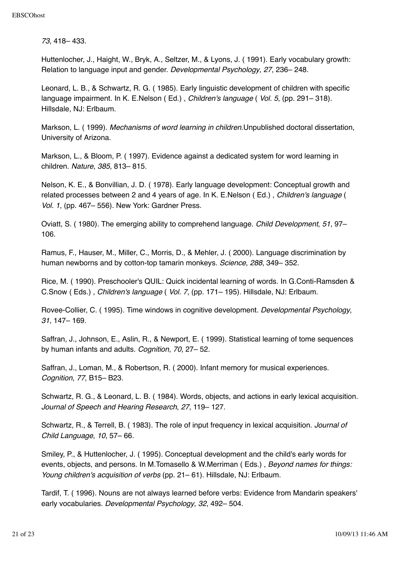*73*, 418– 433.

Huttenlocher, J., Haight, W., Bryk, A., Seltzer, M., & Lyons, J. ( 1991). Early vocabulary growth: Relation to language input and gender. *Developmental Psychology*, *27*, 236– 248.

Leonard, L. B., & Schwartz, R. G. ( 1985). Early linguistic development of children with specific language impairment. In K. E.Nelson ( Ed.) , *Children's language* ( *Vol. 5*, (pp. 291– 318). Hillsdale, NJ: Erlbaum.

Markson, L. ( 1999). *Mechanisms of word learning in children*.Unpublished doctoral dissertation, University of Arizona.

Markson, L., & Bloom, P. ( 1997). Evidence against a dedicated system for word learning in children. *Nature*, *385*, 813– 815.

Nelson, K. E., & Bonvillian, J. D. ( 1978). Early language development: Conceptual growth and related processes between 2 and 4 years of age. In K. E.Nelson ( Ed.) , *Children's language* ( *Vol. 1*, (pp. 467– 556). New York: Gardner Press.

Oviatt, S. ( 1980). The emerging ability to comprehend language. *Child Development*, *51*, 97– 106.

Ramus, F., Hauser, M., Miller, C., Morris, D., & Mehler, J. ( 2000). Language discrimination by human newborns and by cotton-top tamarin monkeys. *Science*, *288*, 349– 352.

Rice, M. ( 1990). Preschooler's QUIL: Quick incidental learning of words. In G.Conti-Ramsden & C.Snow ( Eds.) , *Children's language* ( *Vol. 7*, (pp. 171– 195). Hillsdale, NJ: Erlbaum.

Rovee-Collier, C. ( 1995). Time windows in cognitive development. *Developmental Psychology*, *31*, 147– 169.

Saffran, J., Johnson, E., Aslin, R., & Newport, E. ( 1999). Statistical learning of tome sequences by human infants and adults. *Cognition*, *70*, 27– 52.

Saffran, J., Loman, M., & Robertson, R. ( 2000). Infant memory for musical experiences. *Cognition*, *77*, B15– B23.

Schwartz, R. G., & Leonard, L. B. ( 1984). Words, objects, and actions in early lexical acquisition. *Journal of Speech and Hearing Research*, *27*, 119– 127.

Schwartz, R., & Terrell, B. ( 1983). The role of input frequency in lexical acquisition. *Journal of Child Language*, *10*, 57– 66.

Smiley, P., & Huttenlocher, J. ( 1995). Conceptual development and the child's early words for events, objects, and persons. In M.Tomasello & W.Merriman ( Eds.) , *Beyond names for things: Young children's acquisition of verbs* (pp. 21– 61). Hillsdale, NJ: Erlbaum.

Tardif, T. ( 1996). Nouns are not always learned before verbs: Evidence from Mandarin speakers' early vocabularies. *Developmental Psychology*, *32*, 492– 504.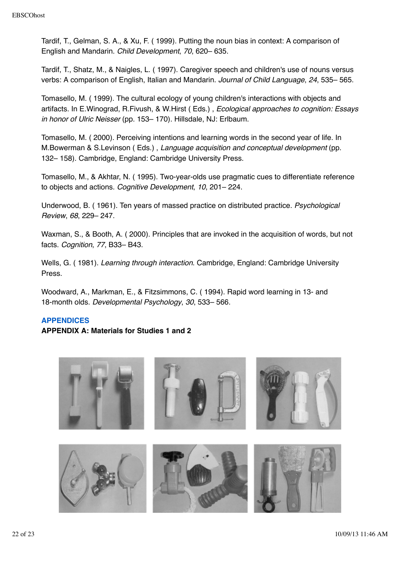Tardif, T., Gelman, S. A., & Xu, F. ( 1999). Putting the noun bias in context: A comparison of English and Mandarin. *Child Development*, *70*, 620– 635.

Tardif, T., Shatz, M., & Naigles, L. ( 1997). Caregiver speech and children's use of nouns versus verbs: A comparison of English, Italian and Mandarin. *Journal of Child Language*, *24*, 535– 565.

Tomasello, M. ( 1999). The cultural ecology of young children's interactions with objects and artifacts. In E.Winograd, R.Fivush, & W.Hirst ( Eds.) , *Ecological approaches to cognition: Essays in honor of Ulric Neisser* (pp. 153– 170). Hillsdale, NJ: Erlbaum.

Tomasello, M. ( 2000). Perceiving intentions and learning words in the second year of life. In M.Bowerman & S.Levinson ( Eds.) , *Language acquisition and conceptual development* (pp. 132– 158). Cambridge, England: Cambridge University Press.

Tomasello, M., & Akhtar, N. ( 1995). Two-year-olds use pragmatic cues to differentiate reference to objects and actions. *Cognitive Development*, *10*, 201– 224.

Underwood, B. ( 1961). Ten years of massed practice on distributed practice. *Psychological Review*, *68*, 229– 247.

Waxman, S., & Booth, A. ( 2000). Principles that are invoked in the acquisition of words, but not facts. *Cognition*, *77*, B33– B43.

Wells, G. ( 1981). *Learning through interaction*. Cambridge, England: Cambridge University Press.

Woodward, A., Markman, E., & Fitzsimmons, C. ( 1994). Rapid word learning in 13- and 18-month olds. *Developmental Psychology*, *30*, 533– 566.

# **APPENDICES**

**APPENDIX A: Materials for Studies 1 and 2**